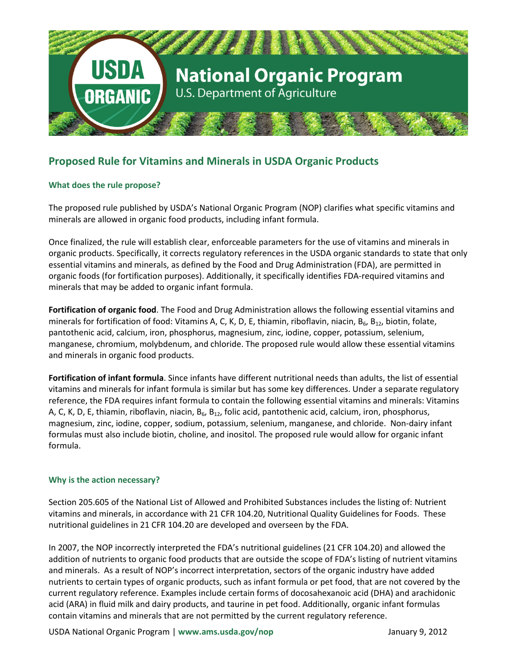

# **Proposed Rule for Vitamins and Minerals in USDA Organic Products**

## **What does the rule propose?**

The proposed rule published by USDA's National Organic Program (NOP) clarifies what specific vitamins and minerals are allowed in organic food products, including infant formula.

Once finalized, the rule will establish clear, enforceable parameters for the use of vitamins and minerals in organic products. Specifically, it corrects regulatory references in the USDA organic standards to state that only essential vitamins and minerals, as defined by the Food and Drug Administration (FDA), are permitted in organic foods (for fortification purposes). Additionally, it specifically identifies FDA-required vitamins and minerals that may be added to organic infant formula.

**Fortification of organic food**. The Food and Drug Administration allows the following essential vitamins and minerals for fortification of food: Vitamins A, C, K, D, E, thiamin, riboflavin, niacin, B<sub>6</sub>, B<sub>12</sub>, biotin, folate, pantothenic acid, calcium, iron, phosphorus, magnesium, zinc, iodine, copper, potassium, selenium, manganese, chromium, molybdenum, and chloride. The proposed rule would allow these essential vitamins and minerals in organic food products.

**Fortification of infant formula**. Since infants have different nutritional needs than adults, the list of essential vitamins and minerals for infant formula is similar but has some key differences. Under a separate regulatory reference, the FDA requires infant formula to contain the following essential vitamins and minerals: Vitamins A, C, K, D, E, thiamin, riboflavin, niacin,  $B_6$ ,  $B_{12}$ , folic acid, pantothenic acid, calcium, iron, phosphorus, magnesium, zinc, iodine, copper, sodium, potassium, selenium, manganese, and chloride. Non-dairy infant formulas must also include biotin, choline, and inositol. The proposed rule would allow for organic infant formula.

### **Why is the action necessary?**

Section 205.605 of the National List of Allowed and Prohibited Substances includes the listing of: Nutrient vitamins and minerals, in accordance with 21 CFR 104.20, Nutritional Quality Guidelines for Foods. These nutritional guidelines in 21 CFR 104.20 are developed and overseen by the FDA.

In 2007, the NOP incorrectly interpreted the FDA's nutritional guidelines (21 CFR 104.20) and allowed the addition of nutrients to organic food products that are outside the scope of FDA's listing of nutrient vitamins and minerals. As a result of NOP's incorrect interpretation, sectors of the organic industry have added nutrients to certain types of organic products, such as infant formula or pet food, that are not covered by the current regulatory reference. Examples include certain forms of docosahexanoic acid (DHA) and arachidonic acid (ARA) in fluid milk and dairy products, and taurine in pet food. Additionally, organic infant formulas contain vitamins and minerals that are not permitted by the current regulatory reference.

USDA National Organic Program | **[www.ams.usda.gov/nop](http://www.ams.usda.gov/nop)** January 9, 2012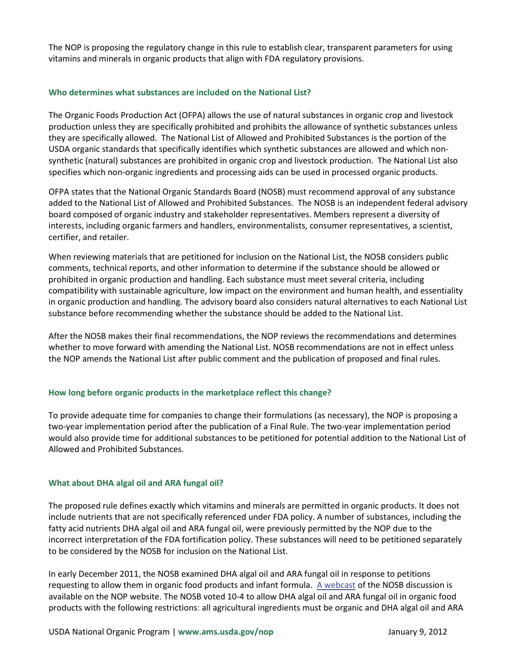The NOP is proposing the regulatory change in this rule to establish clear, transparent parameters for using vitamins and minerals in organic products that align with FDA regulatory provisions.

### **Who determines what substances are included on the National List?**

The Organic Foods Production Act (OFPA) allows the use of natural substances in organic crop and livestock production unless they are specifically prohibited and prohibits the allowance of synthetic substances unless they are specifically allowed. The National List of Allowed and Prohibited Substances is the portion of the USDA organic standards that specifically identifies which synthetic substances are allowed and which nonsynthetic (natural) substances are prohibited in organic crop and livestock production. The National List also specifies which non-organic ingredients and processing aids can be used in processed organic products.

OFPA states that the National Organic Standards Board (NOSB) must recommend approval of any substance added to the National List of Allowed and Prohibited Substances. The NOSB is an independent federal advisory board composed of organic industry and stakeholder representatives. Members represent a diversity of interests, including organic farmers and handlers, environmentalists, consumer representatives, a scientist, certifier, and retailer.

When reviewing materials that are petitioned for inclusion on the National List, the NOSB considers public comments, technical reports, and other information to determine if the substance should be allowed or prohibited in organic production and handling. Each substance must meet several criteria, including compatibility with sustainable agriculture, low impact on the environment and human health, and essentiality in organic production and handling. The advisory board also considers natural alternatives to each National List substance before recommending whether the substance should be added to the National List.

After the NOSB makes their final recommendations, the NOP reviews the recommendations and determines whether to move forward with amending the National List. NOSB recommendations are not in effect unless the NOP amends the National List after public comment and the publication of proposed and final rules.

### **How long before organic products in the marketplace reflect this change?**

To provide adequate time for companies to change their formulations (as necessary), the NOP is proposing a two-year implementation period after the publication of a Final Rule. The two-year implementation period would also provide time for additional substances to be petitioned for potential addition to the National List of Allowed and Prohibited Substances.

### **What about DHA algal oil and ARA fungal oil?**

The proposed rule defines exactly which vitamins and minerals are permitted in organic products. It does not include nutrients that are not specifically referenced under FDA policy. A number of substances, including the fatty acid nutrients DHA algal oil and ARA fungal oil, were previously permitted by the NOP due to the incorrect interpretation of the FDA fortification policy. These substances will need to be petitioned separately to be considered by the NOSB for inclusion on the National List.

In early December 2011, the NOSB examined DHA algal oil and ARA fungal oil in response to petitions requesting to allow them in organic food products and infant formula. [A webcast](http://usda.granicus.com/ViewPublisher.php?view_id=5) of the NOSB discussion is available on the NOP website. The NOSB voted 10-4 to allow DHA algal oil and ARA fungal oil in organic food products with the following restrictions: all agricultural ingredients must be organic and DHA algal oil and ARA